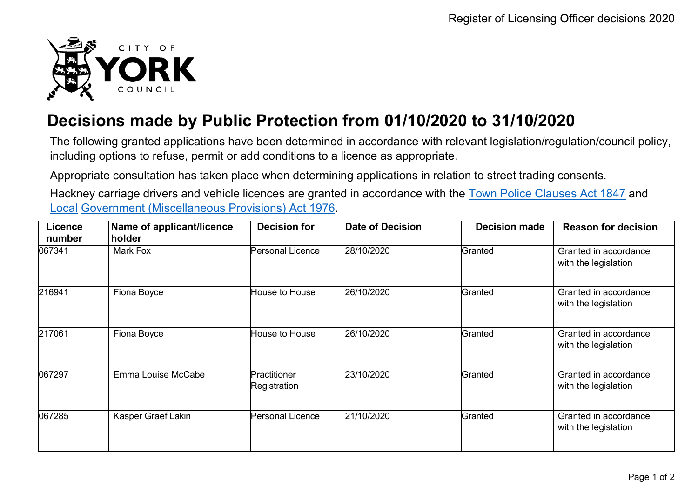

## **Decisions made by Public Protection from 01/10/2020 to 31/10/2020**

The following granted applications have been determined in accordance with relevant legislation/regulation/council policy, including options to refuse, permit or add conditions to a licence as appropriate.

Appropriate consultation has taken place when determining applications in relation to street trading consents.

Hackney carriage drivers and vehicle licences are granted in accordance with the Town Police [Clauses](http://www.legislation.gov.uk/ukpga/Vict/10-11/89) Act 1847 and [Local](http://www.legislation.gov.uk/ukpga/1976/57) [Government \(Miscellaneous Provisions\) Act 1976.](http://www.legislation.gov.uk/ukpga/1976/57)

| <b>Licence</b><br>number | Name of applicant/licence<br>holder | <b>Decision for</b>          | Date of Decision | <b>Decision made</b> | <b>Reason for decision</b>                    |
|--------------------------|-------------------------------------|------------------------------|------------------|----------------------|-----------------------------------------------|
| 067341                   | Mark Fox                            | Personal Licence             | 28/10/2020       | Granted              | Granted in accordance<br>with the legislation |
| 216941                   | Fiona Boyce                         | House to House               | 26/10/2020       | Granted              | Granted in accordance<br>with the legislation |
| 217061                   | Fiona Boyce                         | House to House               | 26/10/2020       | Granted              | Granted in accordance<br>with the legislation |
| 067297                   | Emma Louise McCabe                  | Practitioner<br>Registration | 23/10/2020       | Granted              | Granted in accordance<br>with the legislation |
| 067285                   | Kasper Graef Lakin                  | Personal Licence             | 21/10/2020       | Granted              | Granted in accordance<br>with the legislation |